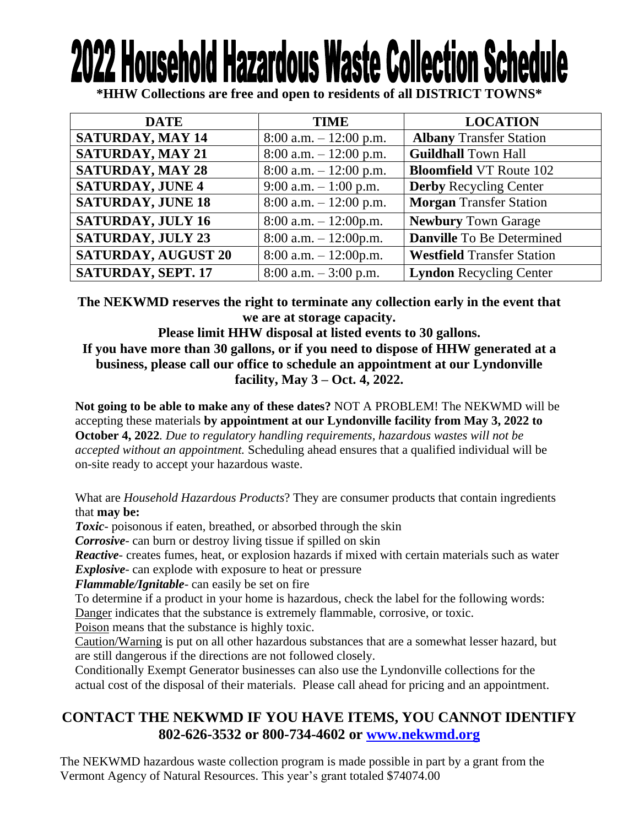# **2022 Household Hazardous Waste Collection Sch**

**\*HHW Collections are free and open to residents of all DISTRICT TOWNS\***

| <b>DATE</b>                | <b>TIME</b>               | <b>LOCATION</b>                   |
|----------------------------|---------------------------|-----------------------------------|
| <b>SATURDAY, MAY 14</b>    | $8:00$ a.m. $-12:00$ p.m. | <b>Albany Transfer Station</b>    |
| <b>SATURDAY, MAY 21</b>    | $8:00$ a.m. $-12:00$ p.m. | <b>Guildhall Town Hall</b>        |
| <b>SATURDAY, MAY 28</b>    | $8:00$ a.m. $-12:00$ p.m. | <b>Bloomfield VT Route 102</b>    |
| <b>SATURDAY, JUNE 4</b>    | 9:00 a.m. $-1:00$ p.m.    | <b>Derby Recycling Center</b>     |
| <b>SATURDAY, JUNE 18</b>   | $8:00$ a.m. $-12:00$ p.m. | <b>Morgan Transfer Station</b>    |
| <b>SATURDAY, JULY 16</b>   | $8:00$ a.m. $-12:00$ p.m. | <b>Newbury Town Garage</b>        |
| <b>SATURDAY, JULY 23</b>   | $8:00$ a.m. $-12:00$ p.m. | <b>Danville</b> To Be Determined  |
| <b>SATURDAY, AUGUST 20</b> | $8:00$ a.m. $-12:00$ p.m. | <b>Westfield Transfer Station</b> |
| SATURDAY, SEPT. 17         | $8:00$ a.m. $-3:00$ p.m.  | <b>Lyndon Recycling Center</b>    |

**The NEKWMD reserves the right to terminate any collection early in the event that we are at storage capacity.**

**Please limit HHW disposal at listed events to 30 gallons. If you have more than 30 gallons, or if you need to dispose of HHW generated at a business, please call our office to schedule an appointment at our Lyndonville facility, May 3 – Oct. 4, 2022.**

**Not going to be able to make any of these dates?** NOT A PROBLEM! The NEKWMD will be accepting these materials **by appointment at our Lyndonville facility from May 3, 2022 to October 4, 2022***. Due to regulatory handling requirements, hazardous wastes will not be accepted without an appointment.* Scheduling ahead ensures that a qualified individual will be on-site ready to accept your hazardous waste.

What are *Household Hazardous Products*? They are consumer products that contain ingredients that **may be:**

*Toxic*- poisonous if eaten, breathed, or absorbed through the skin

*Corrosive*- can burn or destroy living tissue if spilled on skin

*Reactive*- creates fumes, heat, or explosion hazards if mixed with certain materials such as water *Explosive*- can explode with exposure to heat or pressure

*Flammable/Ignitable*- can easily be set on fire

To determine if a product in your home is hazardous, check the label for the following words: Danger indicates that the substance is extremely flammable, corrosive, or toxic.

Poison means that the substance is highly toxic.

Caution/Warning is put on all other hazardous substances that are a somewhat lesser hazard, but are still dangerous if the directions are not followed closely.

Conditionally Exempt Generator businesses can also use the Lyndonville collections for the actual cost of the disposal of their materials. Please call ahead for pricing and an appointment.

## **CONTACT THE NEKWMD IF YOU HAVE ITEMS, YOU CANNOT IDENTIFY 802-626-3532 or 800-734-4602 or [www.nekwmd.org](http://www.nekwmd.org/)**

The NEKWMD hazardous waste collection program is made possible in part by a grant from the Vermont Agency of Natural Resources. This year's grant totaled \$74074.00